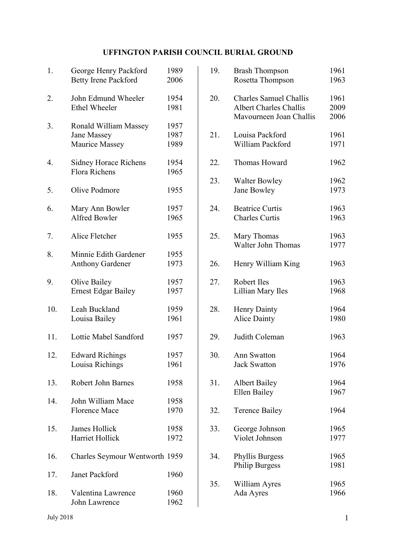## UFFINGTON PARISH COUNCIL BURIAL GROUND

| 1.  | George Henry Packford<br><b>Betty Irene Packford</b>   | 1989<br>2006         |
|-----|--------------------------------------------------------|----------------------|
| 2.  | John Edmund Wheeler<br><b>Ethel Wheeler</b>            | 1954<br>1981         |
| 3.  | Ronald William Massey<br>Jane Massey<br>Maurice Massey | 1957<br>1987<br>1989 |
| 4.  | <b>Sidney Horace Richens</b><br><b>Flora Richens</b>   | 1954<br>1965         |
| 5.  | Olive Podmore                                          | 1955                 |
| 6.  | Mary Ann Bowler<br><b>Alfred Bowler</b>                | 1957<br>1965         |
| 7.  | Alice Fletcher                                         | 1955                 |
| 8.  | Minnie Edith Gardener<br><b>Anthony Gardener</b>       | 1955<br>1973         |
| 9.  | Olive Bailey<br><b>Ernest Edgar Bailey</b>             | 1957<br>1957         |
| 10. | Leah Buckland<br>Louisa Bailey                         | 1959<br>1961         |
| 11. | Lottie Mabel Sandford                                  | 1957                 |
| 12. | <b>Edward Richings</b><br>Louisa Richings              | 1957<br>1961         |
| 13. | <b>Robert John Barnes</b>                              | 1958                 |
| 14. | John William Mace<br><b>Florence Mace</b>              | 1958<br>1970         |
| 15. | James Hollick<br>Harriet Hollick                       | 1958<br>1972         |
| 16. | Charles Seymour Wentworth 1959                         |                      |
| 17. | <b>Janet Packford</b>                                  | 1960                 |
| 18. | Valentina Lawrence<br>John Lawrence                    | 1960<br>1962         |

| 19. | <b>Brash Thompson</b><br>Rosetta Thompson                                                 | 1961<br>1963         |
|-----|-------------------------------------------------------------------------------------------|----------------------|
| 20. | <b>Charles Samuel Challis</b><br><b>Albert Charles Challis</b><br>Mavourneen Joan Challis | 1961<br>2009<br>2006 |
| 21. | Louisa Packford<br>William Packford                                                       | 1961<br>1971         |
| 22. | Thomas Howard                                                                             | 1962                 |
| 23. | <b>Walter Bowley</b><br>Jane Bowley                                                       | 1962<br>1973         |
| 24. | <b>Beatrice Curtis</b><br><b>Charles Curtis</b>                                           | 1963<br>1963         |
| 25. | Mary Thomas<br><b>Walter John Thomas</b>                                                  | 1963<br>1977         |
| 26. | Henry William King                                                                        | 1963                 |
| 27. | Robert Iles<br>Lillian Mary Iles                                                          | 1963<br>1968         |
| 28. | <b>Henry Dainty</b><br><b>Alice Dainty</b>                                                | 1964<br>1980         |
| 29. | Judith Coleman                                                                            | 1963                 |
| 30. | <b>Ann Swatton</b><br><b>Jack Swatton</b>                                                 | 1964<br>1976         |
| 31. | <b>Albert Bailey</b><br>Ellen Bailey                                                      | 1964<br>1967         |
| 32. | <b>Terence Bailey</b>                                                                     | 1964                 |
| 33. | George Johnson<br>Violet Johnson                                                          | 1965<br>1977         |
| 34. | <b>Phyllis Burgess</b><br><b>Philip Burgess</b>                                           | 1965<br>1981         |
| 35. | William Ayres<br>Ada Ayres                                                                | 1965<br>1966         |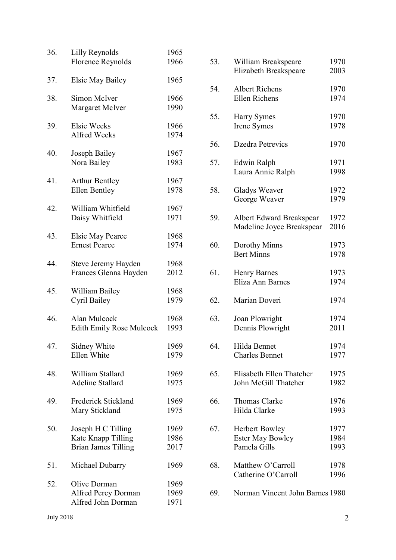| 36. | Lilly Reynolds<br><b>Florence Reynolds</b>                             | 1965<br>1966         |
|-----|------------------------------------------------------------------------|----------------------|
| 37. | <b>Elsie May Bailey</b>                                                | 1965                 |
| 38. | Simon McIver<br>Margaret McIver                                        | 1966<br>1990         |
| 39. | Elsie Weeks<br>Alfred Weeks                                            | 1966<br>1974         |
| 40. | Joseph Bailey<br>Nora Bailey                                           | 1967<br>1983         |
| 41. | <b>Arthur Bentley</b><br><b>Ellen Bentley</b>                          | 1967<br>1978         |
| 42. | William Whitfield<br>Daisy Whitfield                                   | 1967<br>1971         |
| 43. | <b>Elsie May Pearce</b><br><b>Ernest Pearce</b>                        | 1968<br>1974         |
| 44. | Steve Jeremy Hayden<br>Frances Glenna Hayden                           | 1968<br>2012         |
| 45. | William Bailey<br>Cyril Bailey                                         | 1968<br>1979         |
| 46. | Alan Mulcock<br><b>Edith Emily Rose Mulcock</b>                        | 1968<br>1993         |
| 47. | Sidney White<br>Ellen White                                            | 1969<br>1979         |
| 48. | William Stallard<br><b>Adeline Stallard</b>                            | 1969<br>1975         |
| 49. | Frederick Stickland<br>Mary Stickland                                  | 1969<br>1975         |
| 50. | Joseph H C Tilling<br>Kate Knapp Tilling<br><b>Brian James Tilling</b> | 1969<br>1986<br>2017 |
| 51. | Michael Dubarry                                                        | 1969                 |
| 52. | Olive Dorman<br><b>Alfred Percy Dorman</b><br>Alfred John Dorman       | 1969<br>1969<br>1971 |

| 53. | William Breakspeare<br><b>Elizabeth Breakspeare</b>              | 1970<br>2003         |
|-----|------------------------------------------------------------------|----------------------|
| 54. | <b>Albert Richens</b><br><b>Ellen Richens</b>                    | 1970<br>1974         |
| 55. | Harry Symes<br>Irene Symes                                       | 1970<br>1978         |
| 56. | <b>Dzedra Petrevics</b>                                          | 1970                 |
| 57. | Edwin Ralph<br>Laura Annie Ralph                                 | 1971<br>1998         |
| 58. | Gladys Weaver<br>George Weaver                                   | 1972<br>1979         |
| 59. | Albert Edward Breakspear<br>Madeline Joyce Breakspear            | 1972<br>2016         |
| 60. | Dorothy Minns<br><b>Bert Minns</b>                               | 1973<br>1978         |
| 61. | <b>Henry Barnes</b><br>Eliza Ann Barnes                          | 1973<br>1974         |
| 62. | Marian Doveri                                                    | 1974                 |
| 63. | Joan Plowright<br>Dennis Plowright                               | 1974<br>2011         |
| 64. | Hilda Bennet<br>Charles Bennet                                   | 1974<br>1977         |
| 65. | Elisabeth Ellen Thatcher<br>John McGill Thatcher                 | 1975<br>1982         |
| 66. | Thomas Clarke<br>Hilda Clarke                                    | 1976<br>1993         |
| 67. | <b>Herbert Bowley</b><br><b>Ester May Bowley</b><br>Pamela Gills | 1977<br>1984<br>1993 |
| 68. | Matthew O'Carroll<br>Catherine O'Carroll                         | 1978<br>1996         |
| 69. | Norman Vincent John Barnes 1980                                  |                      |